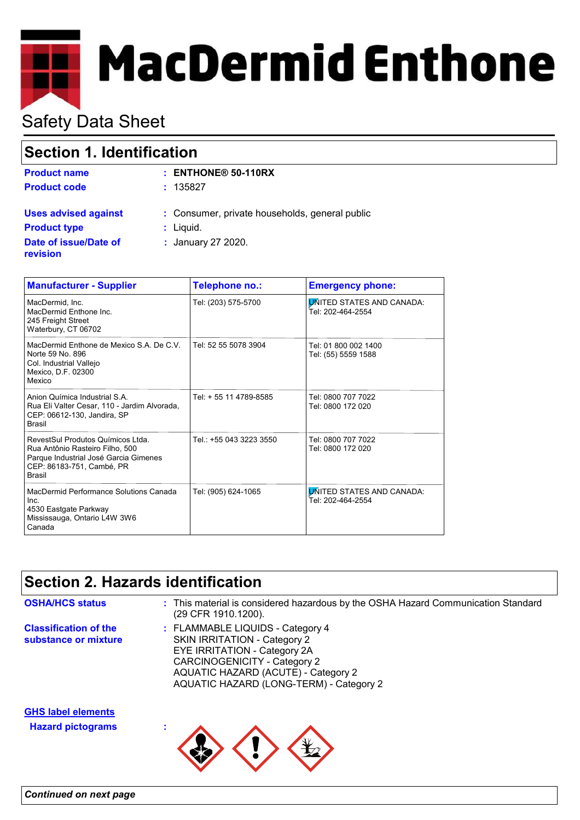# **E** MacDermid Enthone

# Safety Data Sheet

## **Section 1. Identification**

| <b>Product name</b>                      | $:$ ENTHONE® 50-110RX                          |
|------------------------------------------|------------------------------------------------|
| <b>Product code</b>                      | : 135827                                       |
| <b>Uses advised against</b>              | : Consumer, private households, general public |
| <b>Product type</b>                      | $:$ Liquid.                                    |
| Date of issue/Date of<br><b>revision</b> | : January 27 2020.                             |

| <b>Manufacturer - Supplier</b>                                                                                                                              | Telephone no.:          | <b>Emergency phone:</b>                               |
|-------------------------------------------------------------------------------------------------------------------------------------------------------------|-------------------------|-------------------------------------------------------|
| MacDermid, Inc.<br>MacDermid Enthone Inc.<br>245 Freight Street<br>Waterbury, CT 06702                                                                      | Tel: (203) 575-5700     | <b>UNITED STATES AND CANADA:</b><br>Tel: 202-464-2554 |
| MacDermid Enthone de Mexico S.A. De C.V.<br>Norte 59 No. 896<br>Col. Industrial Vallejo<br>Mexico, D.F. 02300<br>Mexico                                     | Tel: 52 55 5078 3904    | Tel: 01 800 002 1400<br>Tel: (55) 5559 1588           |
| Anion Química Industrial S.A.<br>Rua Eli Valter Cesar, 110 - Jardim Alvorada,<br>CEP: 06612-130, Jandira, SP<br>Brasil                                      | Tel: + 55 11 4789-8585  | Tel: 0800 707 7022<br>Tel: 0800 172 020               |
| RevestSul Produtos Químicos Ltda.<br>Rua Antônio Rasteiro Filho, 500<br>Parque Industrial José Garcia Gimenes<br>CEP: 86183-751, Cambé, PR<br><b>Brasil</b> | Tel.: +55 043 3223 3550 | Tel: 0800 707 7022<br>Tel: 0800 172 020               |
| MacDermid Performance Solutions Canada<br>Inc.<br>4530 Eastgate Parkway<br>Mississauga, Ontario L4W 3W6<br>Canada                                           | Tel: (905) 624-1065     | <b>UNITED STATES AND CANADA:</b><br>Tel: 202-464-2554 |

## **Section 2. Hazards identification**

| <b>OSHA/HCS status</b>                                | : This material is considered hazardous by the OSHA Hazard Communication Standard<br>(29 CFR 1910.1200).                                                                                                           |
|-------------------------------------------------------|--------------------------------------------------------------------------------------------------------------------------------------------------------------------------------------------------------------------|
| <b>Classification of the</b><br>substance or mixture  | : FLAMMABLE LIQUIDS - Category 4<br>SKIN IRRITATION - Category 2<br>EYE IRRITATION - Category 2A<br>CARCINOGENICITY - Category 2<br>AQUATIC HAZARD (ACUTE) - Category 2<br>AQUATIC HAZARD (LONG-TERM) - Category 2 |
| <b>GHS label elements</b><br><b>Hazard pictograms</b> |                                                                                                                                                                                                                    |
|                                                       |                                                                                                                                                                                                                    |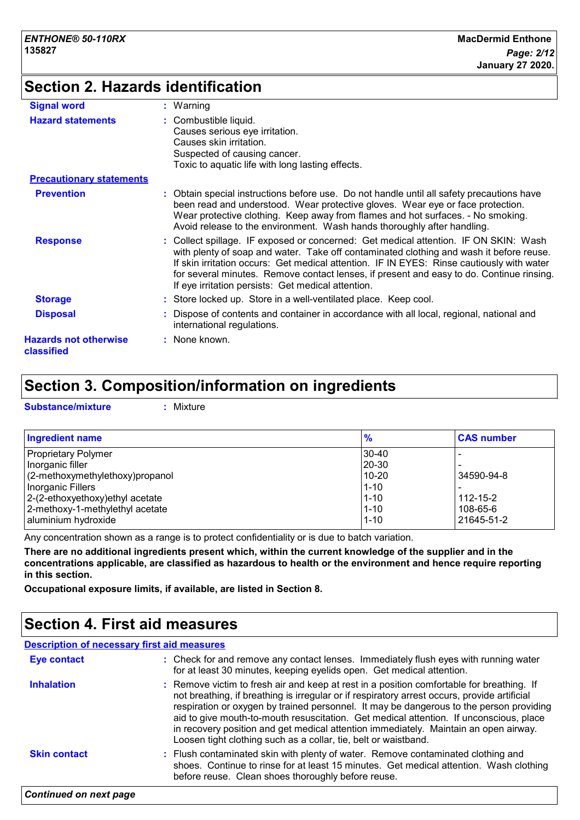# **Section 2. Hazards identification**

| <b>Signal word</b>                         | $:$ Warning                                                                                                                                                                                                                                                                                                                                                                                                                    |
|--------------------------------------------|--------------------------------------------------------------------------------------------------------------------------------------------------------------------------------------------------------------------------------------------------------------------------------------------------------------------------------------------------------------------------------------------------------------------------------|
| <b>Hazard statements</b>                   | : Combustible liquid.<br>Causes serious eye irritation.<br>Causes skin irritation.<br>Suspected of causing cancer.<br>Toxic to aquatic life with long lasting effects.                                                                                                                                                                                                                                                         |
| <b>Precautionary statements</b>            |                                                                                                                                                                                                                                                                                                                                                                                                                                |
| <b>Prevention</b>                          | : Obtain special instructions before use. Do not handle until all safety precautions have<br>been read and understood. Wear protective gloves. Wear eye or face protection.<br>Wear protective clothing. Keep away from flames and hot surfaces. - No smoking.<br>Avoid release to the environment. Wash hands thoroughly after handling.                                                                                      |
| <b>Response</b>                            | : Collect spillage. IF exposed or concerned: Get medical attention. IF ON SKIN: Wash<br>with plenty of soap and water. Take off contaminated clothing and wash it before reuse.<br>If skin irritation occurs: Get medical attention. IF IN EYES: Rinse cautiously with water<br>for several minutes. Remove contact lenses, if present and easy to do. Continue rinsing.<br>If eye irritation persists: Get medical attention. |
| <b>Storage</b>                             | : Store locked up. Store in a well-ventilated place. Keep cool.                                                                                                                                                                                                                                                                                                                                                                |
| <b>Disposal</b>                            | : Dispose of contents and container in accordance with all local, regional, national and<br>international regulations.                                                                                                                                                                                                                                                                                                         |
| <b>Hazards not otherwise</b><br>classified | : None known.                                                                                                                                                                                                                                                                                                                                                                                                                  |

## **Section 3. Composition/information on ingredients**

**Substance/mixture :** Mixture

| <b>Ingredient name</b>           | $\frac{9}{6}$ | <b>CAS number</b> |
|----------------------------------|---------------|-------------------|
| <b>Proprietary Polymer</b>       | $30-40$       |                   |
| Inorganic filler                 | 20-30         |                   |
| (2-methoxymethylethoxy) propanol | $10 - 20$     | 34590-94-8        |
| Inorganic Fillers                | $1 - 10$      |                   |
| 2-(2-ethoxyethoxy) ethyl acetate | $1 - 10$      | $112 - 15 - 2$    |
| 2-methoxy-1-methylethyl acetate  | $1 - 10$      | 108-65-6          |
| aluminium hydroxide              | $1 - 10$      | 21645-51-2        |

Any concentration shown as a range is to protect confidentiality or is due to batch variation.

**There are no additional ingredients present which, within the current knowledge of the supplier and in the concentrations applicable, are classified as hazardous to health or the environment and hence require reporting in this section.**

**Occupational exposure limits, if available, are listed in Section 8.**

## **Section 4. First aid measures**

| <b>Description of necessary first aid measures</b> |                                                                                                                                                                                                                                                                                                                                                                                                                                                                                                                                           |
|----------------------------------------------------|-------------------------------------------------------------------------------------------------------------------------------------------------------------------------------------------------------------------------------------------------------------------------------------------------------------------------------------------------------------------------------------------------------------------------------------------------------------------------------------------------------------------------------------------|
| <b>Eye contact</b>                                 | : Check for and remove any contact lenses. Immediately flush eyes with running water<br>for at least 30 minutes, keeping eyelids open. Get medical attention.                                                                                                                                                                                                                                                                                                                                                                             |
| <b>Inhalation</b>                                  | : Remove victim to fresh air and keep at rest in a position comfortable for breathing. If<br>not breathing, if breathing is irregular or if respiratory arrest occurs, provide artificial<br>respiration or oxygen by trained personnel. It may be dangerous to the person providing<br>aid to give mouth-to-mouth resuscitation. Get medical attention. If unconscious, place<br>in recovery position and get medical attention immediately. Maintain an open airway.<br>Loosen tight clothing such as a collar, tie, belt or waistband. |
| <b>Skin contact</b>                                | : Flush contaminated skin with plenty of water. Remove contaminated clothing and<br>shoes. Continue to rinse for at least 15 minutes. Get medical attention. Wash clothing<br>before reuse. Clean shoes thoroughly before reuse.                                                                                                                                                                                                                                                                                                          |
| <b>Continued on next page</b>                      |                                                                                                                                                                                                                                                                                                                                                                                                                                                                                                                                           |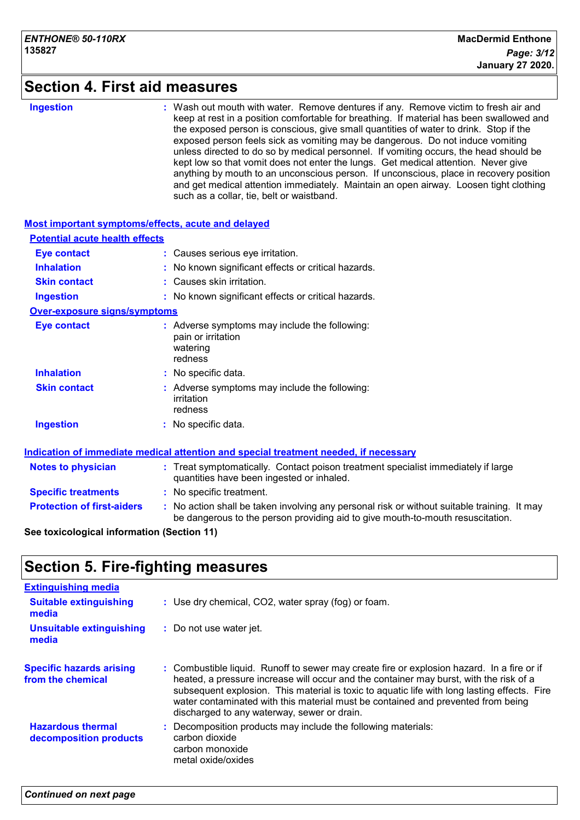### **Section 4. First aid measures**

**Ingestion :**

Wash out mouth with water. Remove dentures if any. Remove victim to fresh air and keep at rest in a position comfortable for breathing. If material has been swallowed and the exposed person is conscious, give small quantities of water to drink. Stop if the exposed person feels sick as vomiting may be dangerous. Do not induce vomiting unless directed to do so by medical personnel. If vomiting occurs, the head should be kept low so that vomit does not enter the lungs. Get medical attention. Never give anything by mouth to an unconscious person. If unconscious, place in recovery position and get medical attention immediately. Maintain an open airway. Loosen tight clothing such as a collar, tie, belt or waistband.

| Most important symptoms/effects, acute and delayed |                                           |                                                                                                                                                                               |
|----------------------------------------------------|-------------------------------------------|-------------------------------------------------------------------------------------------------------------------------------------------------------------------------------|
| <b>Potential acute health effects</b>              |                                           |                                                                                                                                                                               |
| <b>Eye contact</b>                                 |                                           | : Causes serious eye irritation.                                                                                                                                              |
| <b>Inhalation</b>                                  |                                           | : No known significant effects or critical hazards.                                                                                                                           |
| <b>Skin contact</b>                                | : Causes skin irritation.                 |                                                                                                                                                                               |
| <b>Ingestion</b>                                   |                                           | : No known significant effects or critical hazards.                                                                                                                           |
| <b>Over-exposure signs/symptoms</b>                |                                           |                                                                                                                                                                               |
| <b>Eye contact</b>                                 | pain or irritation<br>watering<br>redness | : Adverse symptoms may include the following:                                                                                                                                 |
| <b>Inhalation</b>                                  | : No specific data.                       |                                                                                                                                                                               |
| <b>Skin contact</b>                                | irritation<br>redness                     | : Adverse symptoms may include the following:                                                                                                                                 |
| <b>Ingestion</b>                                   | : No specific data.                       |                                                                                                                                                                               |
|                                                    |                                           | Indication of immediate medical attention and special treatment needed, if necessary                                                                                          |
| <b>Notes to physician</b>                          |                                           | : Treat symptomatically. Contact poison treatment specialist immediately if large<br>quantities have been ingested or inhaled.                                                |
| <b>Specific treatments</b>                         | : No specific treatment.                  |                                                                                                                                                                               |
| <b>Protection of first-aiders</b>                  |                                           | : No action shall be taken involving any personal risk or without suitable training. It may<br>be dangerous to the person providing aid to give mouth-to-mouth resuscitation. |

#### **See toxicological information (Section 11)**

## **Section 5. Fire-fighting measures**

| <b>Extinguishing media</b>                           |                                                                                                                                                                                                                                                                                                                                                                                                                         |
|------------------------------------------------------|-------------------------------------------------------------------------------------------------------------------------------------------------------------------------------------------------------------------------------------------------------------------------------------------------------------------------------------------------------------------------------------------------------------------------|
| <b>Suitable extinguishing</b><br>media               | : Use dry chemical, CO2, water spray (fog) or foam.                                                                                                                                                                                                                                                                                                                                                                     |
| <b>Unsuitable extinguishing</b><br>media             | : Do not use water jet.                                                                                                                                                                                                                                                                                                                                                                                                 |
| <b>Specific hazards arising</b><br>from the chemical | : Combustible liquid. Runoff to sewer may create fire or explosion hazard. In a fire or if<br>heated, a pressure increase will occur and the container may burst, with the risk of a<br>subsequent explosion. This material is toxic to aquatic life with long lasting effects. Fire<br>water contaminated with this material must be contained and prevented from being<br>discharged to any waterway, sewer or drain. |
| <b>Hazardous thermal</b><br>decomposition products   | Decomposition products may include the following materials:<br>carbon dioxide<br>carbon monoxide<br>metal oxide/oxides                                                                                                                                                                                                                                                                                                  |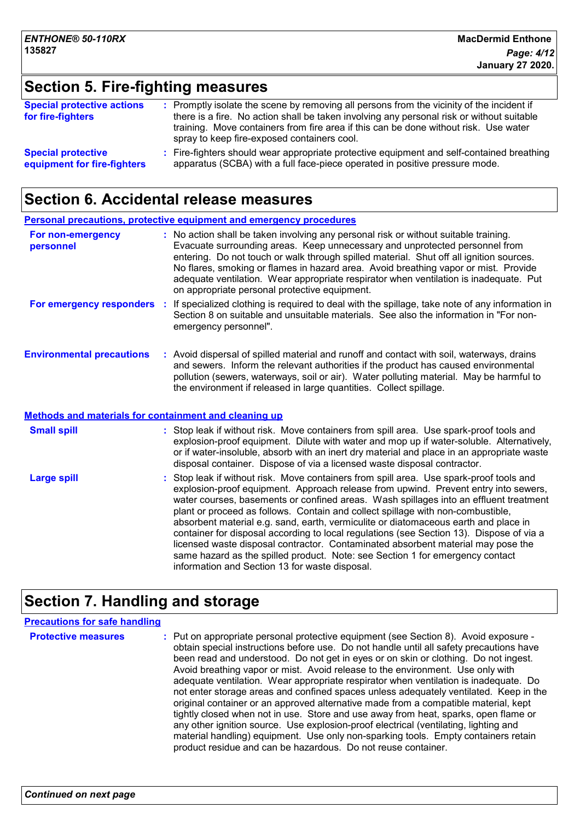## **Section 5. Fire-fighting measures**

| <b>Special protective actions</b><br>for fire-fighters   | : Promptly isolate the scene by removing all persons from the vicinity of the incident if<br>there is a fire. No action shall be taken involving any personal risk or without suitable<br>training. Move containers from fire area if this can be done without risk. Use water<br>spray to keep fire-exposed containers cool. |
|----------------------------------------------------------|-------------------------------------------------------------------------------------------------------------------------------------------------------------------------------------------------------------------------------------------------------------------------------------------------------------------------------|
| <b>Special protective</b><br>equipment for fire-fighters | : Fire-fighters should wear appropriate protective equipment and self-contained breathing<br>apparatus (SCBA) with a full face-piece operated in positive pressure mode.                                                                                                                                                      |

## **Section 6. Accidental release measures**

|                                                              | <b>Personal precautions, protective equipment and emergency procedures</b>                                                                                                                                                                                                                                                                                                                                                                                                                                                                                                                                                                                                                                                                                           |
|--------------------------------------------------------------|----------------------------------------------------------------------------------------------------------------------------------------------------------------------------------------------------------------------------------------------------------------------------------------------------------------------------------------------------------------------------------------------------------------------------------------------------------------------------------------------------------------------------------------------------------------------------------------------------------------------------------------------------------------------------------------------------------------------------------------------------------------------|
| For non-emergency<br>personnel                               | : No action shall be taken involving any personal risk or without suitable training.<br>Evacuate surrounding areas. Keep unnecessary and unprotected personnel from<br>entering. Do not touch or walk through spilled material. Shut off all ignition sources.<br>No flares, smoking or flames in hazard area. Avoid breathing vapor or mist. Provide<br>adequate ventilation. Wear appropriate respirator when ventilation is inadequate. Put<br>on appropriate personal protective equipment.                                                                                                                                                                                                                                                                      |
| For emergency responders :                                   | If specialized clothing is required to deal with the spillage, take note of any information in<br>Section 8 on suitable and unsuitable materials. See also the information in "For non-<br>emergency personnel".                                                                                                                                                                                                                                                                                                                                                                                                                                                                                                                                                     |
| <b>Environmental precautions</b>                             | : Avoid dispersal of spilled material and runoff and contact with soil, waterways, drains<br>and sewers. Inform the relevant authorities if the product has caused environmental<br>pollution (sewers, waterways, soil or air). Water polluting material. May be harmful to<br>the environment if released in large quantities. Collect spillage.                                                                                                                                                                                                                                                                                                                                                                                                                    |
| <b>Methods and materials for containment and cleaning up</b> |                                                                                                                                                                                                                                                                                                                                                                                                                                                                                                                                                                                                                                                                                                                                                                      |
| <b>Small spill</b>                                           | : Stop leak if without risk. Move containers from spill area. Use spark-proof tools and<br>explosion-proof equipment. Dilute with water and mop up if water-soluble. Alternatively,<br>or if water-insoluble, absorb with an inert dry material and place in an appropriate waste<br>disposal container. Dispose of via a licensed waste disposal contractor.                                                                                                                                                                                                                                                                                                                                                                                                        |
| <b>Large spill</b>                                           | : Stop leak if without risk. Move containers from spill area. Use spark-proof tools and<br>explosion-proof equipment. Approach release from upwind. Prevent entry into sewers,<br>water courses, basements or confined areas. Wash spillages into an effluent treatment<br>plant or proceed as follows. Contain and collect spillage with non-combustible,<br>absorbent material e.g. sand, earth, vermiculite or diatomaceous earth and place in<br>container for disposal according to local regulations (see Section 13). Dispose of via a<br>licensed waste disposal contractor. Contaminated absorbent material may pose the<br>same hazard as the spilled product. Note: see Section 1 for emergency contact<br>information and Section 13 for waste disposal. |

## **Section 7. Handling and storage**

#### **Precautions for safe handling**

**Protective measures** : Put on appropriate personal protective equipment (see Section 8). Avoid exposure obtain special instructions before use. Do not handle until all safety precautions have been read and understood. Do not get in eyes or on skin or clothing. Do not ingest. Avoid breathing vapor or mist. Avoid release to the environment. Use only with adequate ventilation. Wear appropriate respirator when ventilation is inadequate. Do not enter storage areas and confined spaces unless adequately ventilated. Keep in the original container or an approved alternative made from a compatible material, kept tightly closed when not in use. Store and use away from heat, sparks, open flame or any other ignition source. Use explosion-proof electrical (ventilating, lighting and material handling) equipment. Use only non-sparking tools. Empty containers retain product residue and can be hazardous. Do not reuse container.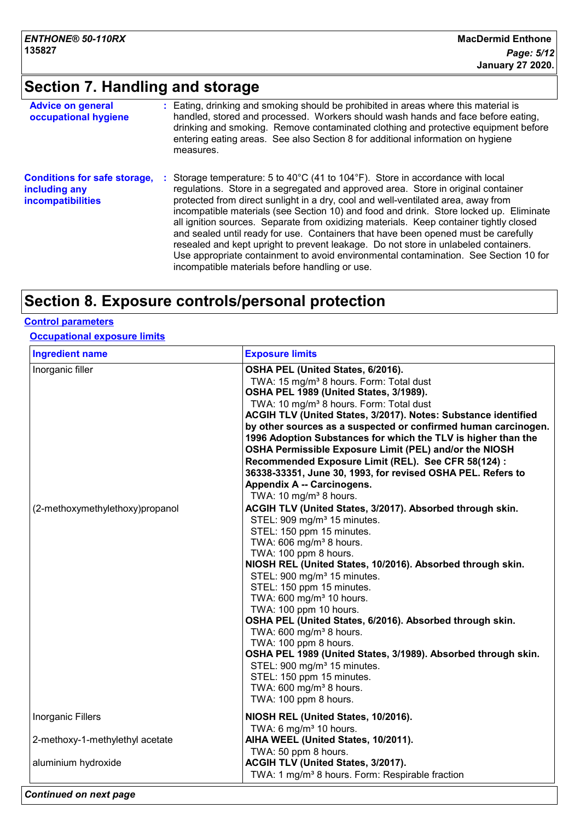# **Section 7. Handling and storage**

| <b>Advice on general</b><br>occupational hygiene                                 | : Eating, drinking and smoking should be prohibited in areas where this material is<br>handled, stored and processed. Workers should wash hands and face before eating,<br>drinking and smoking. Remove contaminated clothing and protective equipment before<br>entering eating areas. See also Section 8 for additional information on hygiene                                                                                                                                                                                                                                                                                                                                                                                                                                                       |
|----------------------------------------------------------------------------------|--------------------------------------------------------------------------------------------------------------------------------------------------------------------------------------------------------------------------------------------------------------------------------------------------------------------------------------------------------------------------------------------------------------------------------------------------------------------------------------------------------------------------------------------------------------------------------------------------------------------------------------------------------------------------------------------------------------------------------------------------------------------------------------------------------|
| <b>Conditions for safe storage,</b><br>including any<br><b>incompatibilities</b> | measures.<br>: Storage temperature: 5 to 40 $^{\circ}$ C (41 to 104 $^{\circ}$ F). Store in accordance with local<br>regulations. Store in a segregated and approved area. Store in original container<br>protected from direct sunlight in a dry, cool and well-ventilated area, away from<br>incompatible materials (see Section 10) and food and drink. Store locked up. Eliminate<br>all ignition sources. Separate from oxidizing materials. Keep container tightly closed<br>and sealed until ready for use. Containers that have been opened must be carefully<br>resealed and kept upright to prevent leakage. Do not store in unlabeled containers.<br>Use appropriate containment to avoid environmental contamination. See Section 10 for<br>incompatible materials before handling or use. |

# **Section 8. Exposure controls/personal protection**

#### **Occupational exposure limits**

| <b>Ingredient name</b>                              | <b>Exposure limits</b>                                                                                                                                                                                                                                                                                                                                                                                                                                                                                                                                                                                                                                                                                                                                                                                                                                                                                                                                                                                                                                                                                                                                                                                                                                                                                                                                                      |
|-----------------------------------------------------|-----------------------------------------------------------------------------------------------------------------------------------------------------------------------------------------------------------------------------------------------------------------------------------------------------------------------------------------------------------------------------------------------------------------------------------------------------------------------------------------------------------------------------------------------------------------------------------------------------------------------------------------------------------------------------------------------------------------------------------------------------------------------------------------------------------------------------------------------------------------------------------------------------------------------------------------------------------------------------------------------------------------------------------------------------------------------------------------------------------------------------------------------------------------------------------------------------------------------------------------------------------------------------------------------------------------------------------------------------------------------------|
| Inorganic filler<br>(2-methoxymethylethoxy)propanol | OSHA PEL (United States, 6/2016).<br>TWA: 15 mg/m <sup>3</sup> 8 hours. Form: Total dust<br>OSHA PEL 1989 (United States, 3/1989).<br>TWA: 10 mg/m <sup>3</sup> 8 hours. Form: Total dust<br>ACGIH TLV (United States, 3/2017). Notes: Substance identified<br>by other sources as a suspected or confirmed human carcinogen.<br>1996 Adoption Substances for which the TLV is higher than the<br>OSHA Permissible Exposure Limit (PEL) and/or the NIOSH<br>Recommended Exposure Limit (REL). See CFR 58(124) :<br>36338-33351, June 30, 1993, for revised OSHA PEL. Refers to<br>Appendix A -- Carcinogens.<br>TWA: 10 mg/m <sup>3</sup> 8 hours.<br>ACGIH TLV (United States, 3/2017). Absorbed through skin.<br>STEL: 909 mg/m <sup>3</sup> 15 minutes.<br>STEL: 150 ppm 15 minutes.<br>TWA: 606 mg/m <sup>3</sup> 8 hours.<br>TWA: 100 ppm 8 hours.<br>NIOSH REL (United States, 10/2016). Absorbed through skin.<br>STEL: 900 mg/m <sup>3</sup> 15 minutes.<br>STEL: 150 ppm 15 minutes.<br>TWA: 600 mg/m <sup>3</sup> 10 hours.<br>TWA: 100 ppm 10 hours.<br>OSHA PEL (United States, 6/2016). Absorbed through skin.<br>TWA: 600 mg/m <sup>3</sup> 8 hours.<br>TWA: 100 ppm 8 hours.<br>OSHA PEL 1989 (United States, 3/1989). Absorbed through skin.<br>STEL: 900 mg/m <sup>3</sup> 15 minutes.<br>STEL: 150 ppm 15 minutes.<br>TWA: 600 mg/m <sup>3</sup> 8 hours. |
| <b>Inorganic Fillers</b>                            | TWA: 100 ppm 8 hours.<br>NIOSH REL (United States, 10/2016).                                                                                                                                                                                                                                                                                                                                                                                                                                                                                                                                                                                                                                                                                                                                                                                                                                                                                                                                                                                                                                                                                                                                                                                                                                                                                                                |
| 2-methoxy-1-methylethyl acetate                     | TWA: 6 mg/m <sup>3</sup> 10 hours.<br>AIHA WEEL (United States, 10/2011).<br>TWA: 50 ppm 8 hours.                                                                                                                                                                                                                                                                                                                                                                                                                                                                                                                                                                                                                                                                                                                                                                                                                                                                                                                                                                                                                                                                                                                                                                                                                                                                           |
| aluminium hydroxide                                 | ACGIH TLV (United States, 3/2017).<br>TWA: 1 mg/m <sup>3</sup> 8 hours. Form: Respirable fraction                                                                                                                                                                                                                                                                                                                                                                                                                                                                                                                                                                                                                                                                                                                                                                                                                                                                                                                                                                                                                                                                                                                                                                                                                                                                           |

*Continued on next page*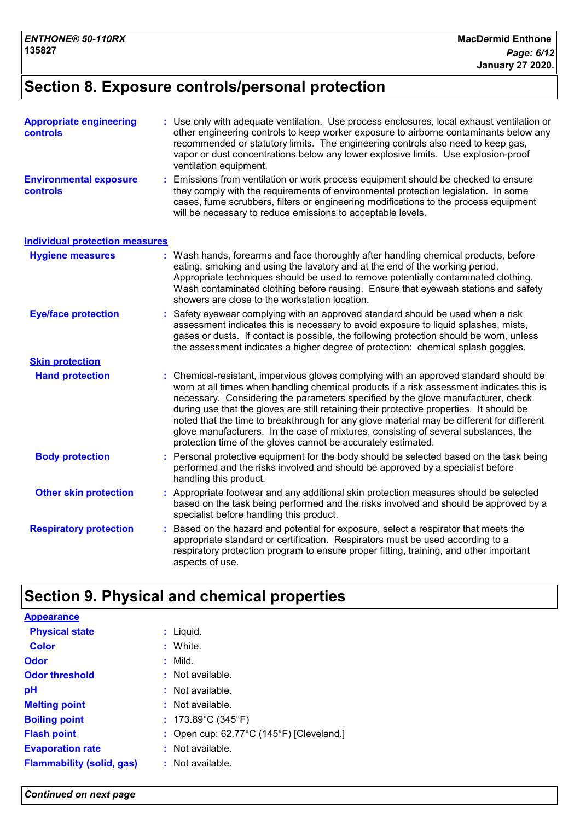## **Section 8. Exposure controls/personal protection**

| <b>Appropriate engineering</b><br>controls       | : Use only with adequate ventilation. Use process enclosures, local exhaust ventilation or<br>other engineering controls to keep worker exposure to airborne contaminants below any<br>recommended or statutory limits. The engineering controls also need to keep gas,<br>vapor or dust concentrations below any lower explosive limits. Use explosion-proof<br>ventilation equipment.                                                                                                                                                                                                                              |
|--------------------------------------------------|----------------------------------------------------------------------------------------------------------------------------------------------------------------------------------------------------------------------------------------------------------------------------------------------------------------------------------------------------------------------------------------------------------------------------------------------------------------------------------------------------------------------------------------------------------------------------------------------------------------------|
| <b>Environmental exposure</b><br><b>controls</b> | Emissions from ventilation or work process equipment should be checked to ensure<br>they comply with the requirements of environmental protection legislation. In some<br>cases, fume scrubbers, filters or engineering modifications to the process equipment<br>will be necessary to reduce emissions to acceptable levels.                                                                                                                                                                                                                                                                                        |
| <b>Individual protection measures</b>            |                                                                                                                                                                                                                                                                                                                                                                                                                                                                                                                                                                                                                      |
| <b>Hygiene measures</b>                          | : Wash hands, forearms and face thoroughly after handling chemical products, before<br>eating, smoking and using the lavatory and at the end of the working period.<br>Appropriate techniques should be used to remove potentially contaminated clothing.<br>Wash contaminated clothing before reusing. Ensure that eyewash stations and safety<br>showers are close to the workstation location.                                                                                                                                                                                                                    |
| <b>Eye/face protection</b>                       | Safety eyewear complying with an approved standard should be used when a risk<br>assessment indicates this is necessary to avoid exposure to liquid splashes, mists,<br>gases or dusts. If contact is possible, the following protection should be worn, unless<br>the assessment indicates a higher degree of protection: chemical splash goggles.                                                                                                                                                                                                                                                                  |
| <b>Skin protection</b>                           |                                                                                                                                                                                                                                                                                                                                                                                                                                                                                                                                                                                                                      |
| <b>Hand protection</b>                           | Chemical-resistant, impervious gloves complying with an approved standard should be<br>worn at all times when handling chemical products if a risk assessment indicates this is<br>necessary. Considering the parameters specified by the glove manufacturer, check<br>during use that the gloves are still retaining their protective properties. It should be<br>noted that the time to breakthrough for any glove material may be different for different<br>glove manufacturers. In the case of mixtures, consisting of several substances, the<br>protection time of the gloves cannot be accurately estimated. |
| <b>Body protection</b>                           | Personal protective equipment for the body should be selected based on the task being<br>performed and the risks involved and should be approved by a specialist before<br>handling this product.                                                                                                                                                                                                                                                                                                                                                                                                                    |
| <b>Other skin protection</b>                     | Appropriate footwear and any additional skin protection measures should be selected<br>based on the task being performed and the risks involved and should be approved by a<br>specialist before handling this product.                                                                                                                                                                                                                                                                                                                                                                                              |
| <b>Respiratory protection</b>                    | Based on the hazard and potential for exposure, select a respirator that meets the<br>appropriate standard or certification. Respirators must be used according to a<br>respiratory protection program to ensure proper fitting, training, and other important<br>aspects of use.                                                                                                                                                                                                                                                                                                                                    |

## **Section 9. Physical and chemical properties**

**Physical state Melting point :** Liquid. **:** Not available. **Odor** : Mild. **pH Color** : White. **Evaporation rate Flash point** : Open cup: 62.77°C (145°F) [Cleveland.] **:** Not available. **Odor threshold** : Not available. : Not available. **Appearance Boiling point :** 173.89°C (345°F) **Flammability (solid, gas) :** Not available.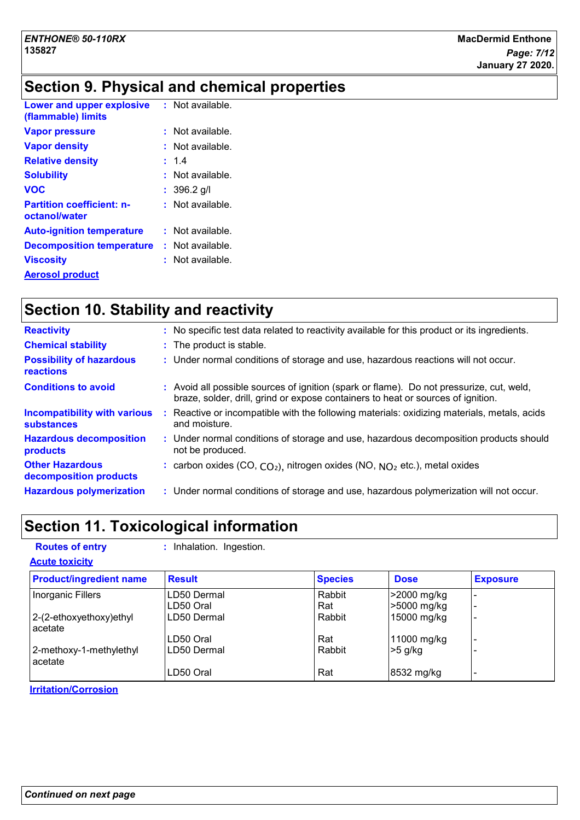# **Section 9. Physical and chemical properties**

| <b>Lower and upper explosive</b><br>(flammable) limits | : Not available.   |
|--------------------------------------------------------|--------------------|
| <b>Vapor pressure</b>                                  | : Not available.   |
| <b>Vapor density</b>                                   | : Not available.   |
| <b>Relative density</b>                                | : 1.4              |
| <b>Solubility</b>                                      | : Not available.   |
| <b>VOC</b>                                             | : 396.2 q/l        |
| <b>Partition coefficient: n-</b><br>octanol/water      | : Not available.   |
| <b>Auto-ignition temperature</b>                       | $:$ Not available. |
| <b>Decomposition temperature</b>                       | : Not available.   |
| <b>Viscosity</b>                                       | : Not available.   |
| <b>Aerosol product</b>                                 |                    |

# **Section 10. Stability and reactivity**

| <b>Reactivity</b>                                        | : No specific test data related to reactivity available for this product or its ingredients.                                                                                 |
|----------------------------------------------------------|------------------------------------------------------------------------------------------------------------------------------------------------------------------------------|
| <b>Chemical stability</b>                                | : The product is stable.                                                                                                                                                     |
| <b>Possibility of hazardous</b><br><b>reactions</b>      | : Under normal conditions of storage and use, hazardous reactions will not occur.                                                                                            |
| <b>Conditions to avoid</b>                               | : Avoid all possible sources of ignition (spark or flame). Do not pressurize, cut, weld,<br>braze, solder, drill, grind or expose containers to heat or sources of ignition. |
| <b>Incompatibility with various</b><br><b>substances</b> | Reactive or incompatible with the following materials: oxidizing materials, metals, acids<br>and moisture.                                                                   |
| <b>Hazardous decomposition</b><br>products               | : Under normal conditions of storage and use, hazardous decomposition products should<br>not be produced.                                                                    |
| <b>Other Hazardous</b><br>decomposition products         | : carbon oxides $(CO, CO2)$ , nitrogen oxides $(NO, NO2)$ etc.), metal oxides                                                                                                |
| <b>Hazardous polymerization</b>                          | : Under normal conditions of storage and use, hazardous polymerization will not occur.                                                                                       |

# **Section 11. Toxicological information**

| <b>Routes of entry</b><br><b>Acute toxicity</b> | : Inhalation. Ingestion. |                |             |                 |
|-------------------------------------------------|--------------------------|----------------|-------------|-----------------|
| <b>Product/ingredient name</b>                  | <b>Result</b>            | <b>Species</b> | <b>Dose</b> | <b>Exposure</b> |
| Inorganic Fillers                               | LD50 Dermal              | Rabbit         | >2000 mg/kg |                 |
|                                                 | LD50 Oral                | Rat            | >5000 mg/kg |                 |
| 2-(2-ethoxyethoxy)ethyl<br>acetate              | LD50 Dermal              | Rabbit         | 15000 mg/kg |                 |
|                                                 | LD50 Oral                | Rat            | 11000 mg/kg |                 |
| 2-methoxy-1-methylethyl<br>acetate              | LD50 Dermal              | Rabbit         | >5 g/kg     |                 |
|                                                 | LD50 Oral                | Rat            | 8532 mg/kg  |                 |

**Irritation/Corrosion**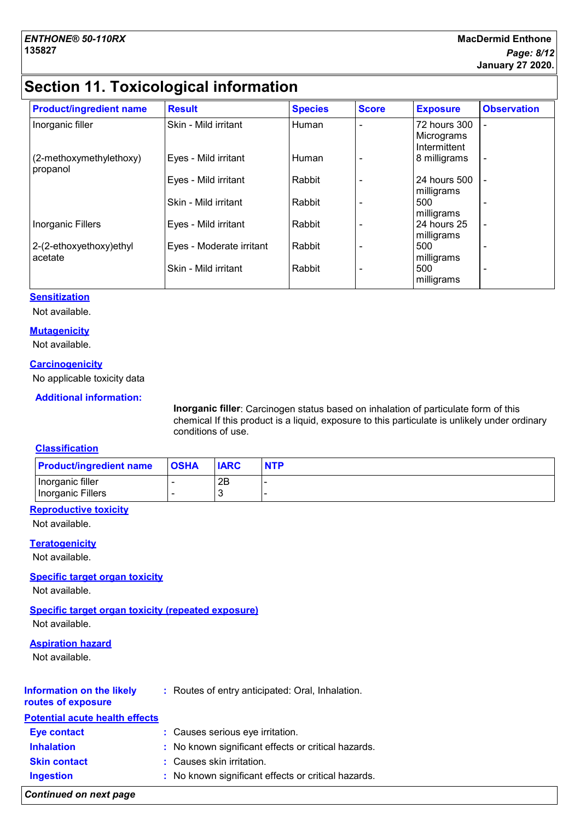# **Section 11. Toxicological information**

| <b>Product/ingredient name</b>      | <b>Result</b>            | <b>Species</b> | <b>Score</b> | <b>Exposure</b>                            | <b>Observation</b>       |
|-------------------------------------|--------------------------|----------------|--------------|--------------------------------------------|--------------------------|
| Inorganic filler                    | Skin - Mild irritant     | Human          |              | 72 hours 300<br>Micrograms<br>Intermittent |                          |
| (2-methoxymethylethoxy)<br>propanol | Eyes - Mild irritant     | Human          |              | 8 milligrams                               |                          |
|                                     | Eyes - Mild irritant     | Rabbit         |              | 24 hours 500<br>milligrams                 |                          |
|                                     | Skin - Mild irritant     | Rabbit         |              | 500<br>milligrams                          |                          |
| Inorganic Fillers                   | Eyes - Mild irritant     | Rabbit         |              | 24 hours 25<br>milligrams                  | $\overline{\phantom{a}}$ |
| 2-(2-ethoxyethoxy)ethyl<br>acetate  | Eyes - Moderate irritant | Rabbit         |              | 500<br>milligrams                          | $\overline{\phantom{0}}$ |
|                                     | Skin - Mild irritant     | Rabbit         |              | 500<br>milligrams                          |                          |

#### **Sensitization**

Not available.

#### **Mutagenicity**

Not available.

#### **Carcinogenicity**

No applicable toxicity data

#### **Additional information:**

**Inorganic filler**: Carcinogen status based on inhalation of particulate form of this chemical If this product is a liquid, exposure to this particulate is unlikely under ordinary conditions of use.

#### **Classification**

| <b>Product/ingredient name</b> | <b>OSHA</b> | <b>IARC</b> | <b>NTP</b> |
|--------------------------------|-------------|-------------|------------|
| Inorganic filler               |             | 2B          |            |
| Inorganic Fillers              |             |             |            |

#### **Reproductive toxicity**

Not available.

#### **Teratogenicity**

Not available.

#### **Specific target organ toxicity**

Not available.

**Specific target organ toxicity (repeated exposure)** Not available.

#### **Aspiration hazard**

Not available.

| <b>Potential acute health effects</b><br>: Causes serious eye irritation.<br><b>Eye contact</b><br>: No known significant effects or critical hazards.<br><b>Inhalation</b><br>: Causes skin irritation.<br><b>Skin contact</b><br>: No known significant effects or critical hazards.<br><b>Ingestion</b> | Information on the likely<br>routes of exposure | : Routes of entry anticipated: Oral, Inhalation. |
|------------------------------------------------------------------------------------------------------------------------------------------------------------------------------------------------------------------------------------------------------------------------------------------------------------|-------------------------------------------------|--------------------------------------------------|
|                                                                                                                                                                                                                                                                                                            |                                                 |                                                  |
|                                                                                                                                                                                                                                                                                                            |                                                 |                                                  |
|                                                                                                                                                                                                                                                                                                            |                                                 |                                                  |
|                                                                                                                                                                                                                                                                                                            |                                                 |                                                  |
|                                                                                                                                                                                                                                                                                                            |                                                 |                                                  |

*Continued on next page*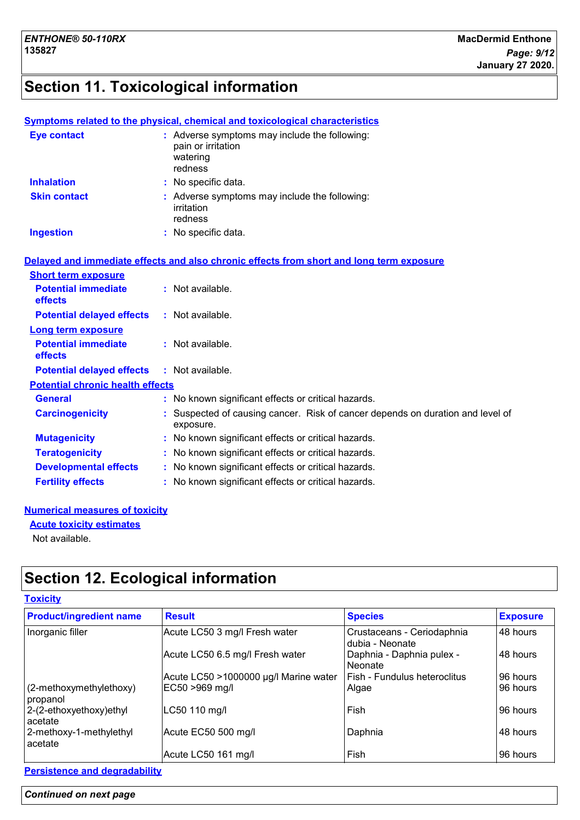# **Section 11. Toxicological information**

|                                         | <b>Symptoms related to the physical, chemical and toxicological characteristics</b>        |
|-----------------------------------------|--------------------------------------------------------------------------------------------|
| <b>Eye contact</b>                      | : Adverse symptoms may include the following:<br>pain or irritation<br>watering<br>redness |
| <b>Inhalation</b>                       | : No specific data.                                                                        |
| <b>Skin contact</b>                     | : Adverse symptoms may include the following:<br>irritation<br>redness                     |
| <b>Ingestion</b>                        | : No specific data.                                                                        |
|                                         | Delayed and immediate effects and also chronic effects from short and long term exposure   |
| <b>Short term exposure</b>              |                                                                                            |
| <b>Potential immediate</b><br>effects   | : Not available.                                                                           |
| <b>Potential delayed effects</b>        | $:$ Not available.                                                                         |
| <b>Long term exposure</b>               |                                                                                            |
| <b>Potential immediate</b><br>effects   | : Not available.                                                                           |
| <b>Potential delayed effects</b>        | : Not available.                                                                           |
| <b>Potential chronic health effects</b> |                                                                                            |
| <b>General</b>                          | : No known significant effects or critical hazards.                                        |
| <b>Carcinogenicity</b>                  | Suspected of causing cancer. Risk of cancer depends on duration and level of<br>exposure.  |
| <b>Mutagenicity</b>                     | No known significant effects or critical hazards.                                          |
| <b>Teratogenicity</b>                   | No known significant effects or critical hazards.                                          |
| <b>Developmental effects</b>            | : No known significant effects or critical hazards.                                        |
| <b>Fertility effects</b>                | : No known significant effects or critical hazards.                                        |
|                                         |                                                                                            |

#### **Numerical measures of toxicity**

**Acute toxicity estimates**

Not available.

# **Section 12. Ecological information**

| <b>Product/ingredient name</b>      | <b>Result</b>                         | <b>Species</b>                                | <b>Exposure</b> |
|-------------------------------------|---------------------------------------|-----------------------------------------------|-----------------|
| Inorganic filler                    | Acute LC50 3 mg/l Fresh water         | Crustaceans - Ceriodaphnia<br>dubia - Neonate | 48 hours        |
|                                     | Acute LC50 6.5 mg/l Fresh water       | Daphnia - Daphnia pulex -<br>Neonate          | 48 hours        |
|                                     | Acute LC50 >1000000 µg/l Marine water | l Fish - Fundulus heteroclitus                | 96 hours        |
| (2-methoxymethylethoxy)<br>propanol | EC50 >969 mg/l                        | Algae                                         | 96 hours        |
| 2-(2-ethoxyethoxy)ethyl<br>acetate  | LC50 110 mg/l                         | l Fish                                        | 96 hours        |
| 2-methoxy-1-methylethyl<br>acetate  | Acute EC50 500 mg/l                   | Daphnia                                       | 48 hours        |
|                                     | Acute LC50 161 mg/l                   | Fish                                          | 96 hours        |

**Persistence and degradability**

#### *Continued on next page*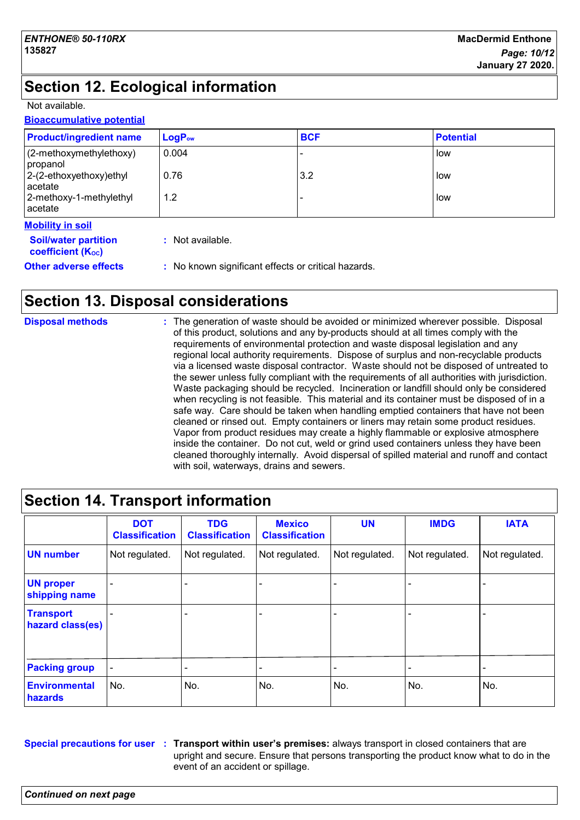# **Section 12. Ecological information**

Not available.

#### **Bioaccumulative potential**

| <b>Product/ingredient name</b>        | $LogP_{ow}$     | <b>BCF</b> | <b>Potential</b> |
|---------------------------------------|-----------------|------------|------------------|
| (2-methoxymethylethoxy)<br>propanol   | 0.004           |            | low              |
| $ 2-(2-ethoxyethoxy)ethyl$<br>acetate | 0.76            | 3.2        | low              |
| 2-methoxy-1-methylethyl<br>acetate    | 1.2             |            | low              |
| <b>Mobility in soil</b>               |                 |            |                  |
| <b>Coilbustor partition</b>           | . Not available |            |                  |

| <b>Soil/water partition</b><br>coefficient (K <sub>oc</sub> ) | : Not available.                                    |
|---------------------------------------------------------------|-----------------------------------------------------|
| <b>Other adverse effects</b>                                  | : No known significant effects or critical hazards. |

# **Section 13. Disposal considerations**

| <b>Disposal methods</b> | : The generation of waste should be avoided or minimized wherever possible. Disposal<br>of this product, solutions and any by-products should at all times comply with the<br>requirements of environmental protection and waste disposal legislation and any                                                                                                   |
|-------------------------|-----------------------------------------------------------------------------------------------------------------------------------------------------------------------------------------------------------------------------------------------------------------------------------------------------------------------------------------------------------------|
|                         | regional local authority requirements. Dispose of surplus and non-recyclable products<br>via a licensed waste disposal contractor. Waste should not be disposed of untreated to<br>the sewer unless fully compliant with the requirements of all authorities with jurisdiction.                                                                                 |
|                         | Waste packaging should be recycled. Incineration or landfill should only be considered<br>when recycling is not feasible. This material and its container must be disposed of in a<br>safe way. Care should be taken when handling emptied containers that have not been<br>cleaned or rinsed out. Empty containers or liners may retain some product residues. |
|                         | Vapor from product residues may create a highly flammable or explosive atmosphere<br>inside the container. Do not cut, weld or grind used containers unless they have been<br>cleaned thoroughly internally. Avoid dispersal of spilled material and runoff and contact<br>with soil, waterways, drains and sewers.                                             |

# **Section 14. Transport information**

|                                      | <b>DOT</b><br><b>Classification</b> | <b>TDG</b><br><b>Classification</b> | <b>Mexico</b><br><b>Classification</b> | <b>UN</b>      | <b>IMDG</b>    | <b>IATA</b>                  |
|--------------------------------------|-------------------------------------|-------------------------------------|----------------------------------------|----------------|----------------|------------------------------|
| <b>UN number</b>                     | Not regulated.                      | Not regulated.                      | Not regulated.                         | Not regulated. | Not regulated. | Not regulated.               |
| <b>UN proper</b><br>shipping name    |                                     |                                     |                                        |                |                |                              |
| <b>Transport</b><br>hazard class(es) |                                     |                                     |                                        |                |                |                              |
| <b>Packing group</b>                 |                                     |                                     |                                        |                |                | $\qquad \qquad \blacksquare$ |
| <b>Environmental</b><br>hazards      | No.                                 | No.                                 | No.                                    | No.            | No.            | No.                          |

**Special precautions for user Transport within user's premises:** always transport in closed containers that are **:** upright and secure. Ensure that persons transporting the product know what to do in the event of an accident or spillage.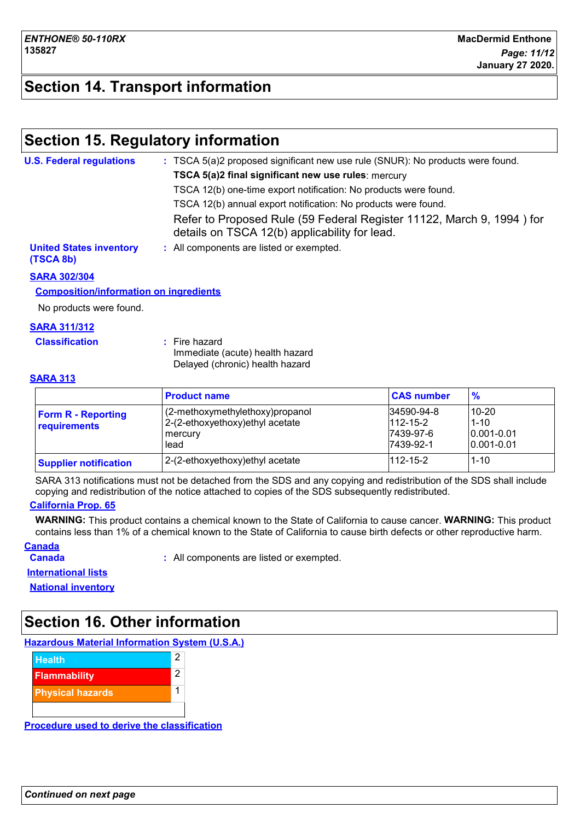## **Section 14. Transport information**

## **Section 15. Regulatory information**

| <b>U.S. Federal regulations</b>             | : TSCA 5(a)2 proposed significant new use rule (SNUR): No products were found.                                         |
|---------------------------------------------|------------------------------------------------------------------------------------------------------------------------|
|                                             | TSCA 5(a)2 final significant new use rules: mercury                                                                    |
|                                             | TSCA 12(b) one-time export notification: No products were found.                                                       |
|                                             | TSCA 12(b) annual export notification: No products were found.                                                         |
|                                             | Refer to Proposed Rule (59 Federal Register 11122, March 9, 1994) for<br>details on TSCA 12(b) applicability for lead. |
| <b>United States inventory</b><br>(TSCA 8b) | : All components are listed or exempted.                                                                               |

#### **SARA 302/304**

#### **Composition/information on ingredients**

No products were found.

#### **SARA 311/312**

| <b>Classification</b> | : Fire hazard                   |  |
|-----------------------|---------------------------------|--|
|                       | Immediate (acute) health hazard |  |
|                       | Delayed (chronic) health hazard |  |

#### **SARA 313**

|                                           | <b>Product name</b>                                                                    | <b>CAS number</b>                                      | $\frac{9}{6}$                                            |
|-------------------------------------------|----------------------------------------------------------------------------------------|--------------------------------------------------------|----------------------------------------------------------|
| <b>Form R - Reporting</b><br>requirements | (2-methoxymethylethoxy)propanol<br>2-(2-ethoxyethoxy) ethyl acetate<br>mercury<br>lead | 34590-94-8<br>$112 - 15 - 2$<br>7439-97-6<br>7439-92-1 | 10-20<br>$1 - 10$<br>$ 0.001 - 0.01 $<br>$10.001 - 0.01$ |
| <b>Supplier notification</b>              | 2-(2-ethoxyethoxy) ethyl acetate                                                       | $112 - 15 - 2$                                         | $1 - 10$                                                 |

SARA 313 notifications must not be detached from the SDS and any copying and redistribution of the SDS shall include copying and redistribution of the notice attached to copies of the SDS subsequently redistributed.

#### **California Prop. 65**

**WARNING:** This product contains a chemical known to the State of California to cause cancer. **WARNING:** This product contains less than 1% of a chemical known to the State of California to cause birth defects or other reproductive harm.

#### **Canada**

**Canada :** All components are listed or exempted.

**International lists**

**National inventory**

## **Section 16. Other information**

**Hazardous Material Information System (U.S.A.)**



**Procedure used to derive the classification**